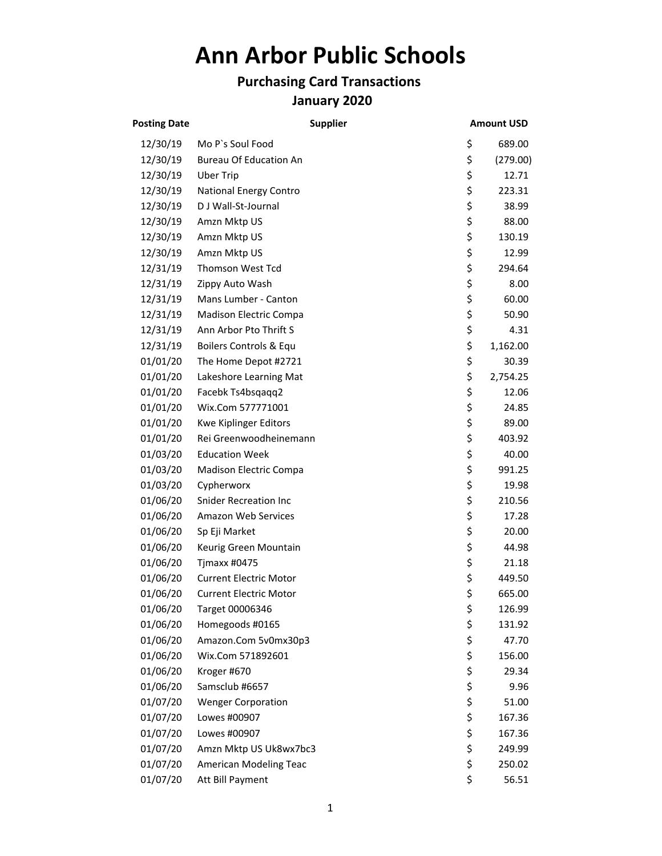## **Ann Arbor Public Schools**

## **Purchasing Card Transactions January 2020**

| <b>Posting Date</b> | <b>Supplier</b>               | <b>Amount USD</b> |
|---------------------|-------------------------------|-------------------|
| 12/30/19            | Mo P's Soul Food              | \$<br>689.00      |
| 12/30/19            | <b>Bureau Of Education An</b> | \$<br>(279.00)    |
| 12/30/19            | <b>Uber Trip</b>              | \$<br>12.71       |
| 12/30/19            | National Energy Contro        | \$<br>223.31      |
| 12/30/19            | D J Wall-St-Journal           | \$<br>38.99       |
| 12/30/19            | Amzn Mktp US                  | \$<br>88.00       |
| 12/30/19            | Amzn Mktp US                  | \$<br>130.19      |
| 12/30/19            | Amzn Mktp US                  | \$<br>12.99       |
| 12/31/19            | Thomson West Tcd              | \$<br>294.64      |
| 12/31/19            | Zippy Auto Wash               | \$<br>8.00        |
| 12/31/19            | Mans Lumber - Canton          | \$<br>60.00       |
| 12/31/19            | <b>Madison Electric Compa</b> | \$<br>50.90       |
| 12/31/19            | Ann Arbor Pto Thrift S        | \$<br>4.31        |
| 12/31/19            | Boilers Controls & Equ        | \$<br>1,162.00    |
| 01/01/20            | The Home Depot #2721          | \$<br>30.39       |
| 01/01/20            | Lakeshore Learning Mat        | \$<br>2,754.25    |
| 01/01/20            | Facebk Ts4bsqaqq2             | \$<br>12.06       |
| 01/01/20            | Wix.Com 577771001             | \$<br>24.85       |
| 01/01/20            | Kwe Kiplinger Editors         | \$<br>89.00       |
| 01/01/20            | Rei Greenwoodheinemann        | \$<br>403.92      |
| 01/03/20            | <b>Education Week</b>         | \$<br>40.00       |
| 01/03/20            | Madison Electric Compa        | \$<br>991.25      |
| 01/03/20            | Cypherworx                    | \$<br>19.98       |
| 01/06/20            | <b>Snider Recreation Inc</b>  | \$<br>210.56      |
| 01/06/20            | <b>Amazon Web Services</b>    | \$<br>17.28       |
| 01/06/20            | Sp Eji Market                 | \$<br>20.00       |
| 01/06/20            | Keurig Green Mountain         | \$<br>44.98       |
| 01/06/20            | Tjmaxx #0475                  | \$<br>21.18       |
| 01/06/20            | <b>Current Electric Motor</b> | \$<br>449.50      |
| 01/06/20            | <b>Current Electric Motor</b> | \$<br>665.00      |
| 01/06/20            | Target 00006346               | \$<br>126.99      |
| 01/06/20            | Homegoods #0165               | \$<br>131.92      |
| 01/06/20            | Amazon.Com 5v0mx30p3          | \$<br>47.70       |
| 01/06/20            | Wix.Com 571892601             | \$<br>156.00      |
| 01/06/20            | Kroger #670                   | \$<br>29.34       |
| 01/06/20            | Samsclub #6657                | \$<br>9.96        |
| 01/07/20            | <b>Wenger Corporation</b>     | \$<br>51.00       |
| 01/07/20            | Lowes #00907                  | \$<br>167.36      |
| 01/07/20            | Lowes #00907                  | \$<br>167.36      |
| 01/07/20            | Amzn Mktp US Uk8wx7bc3        | \$<br>249.99      |
| 01/07/20            | American Modeling Teac        | \$<br>250.02      |
| 01/07/20            | Att Bill Payment              | \$<br>56.51       |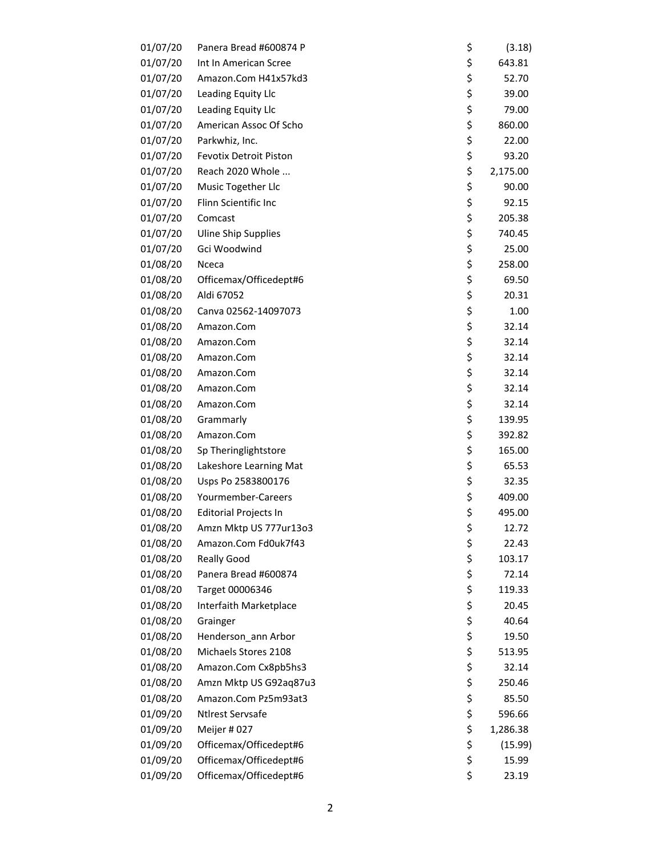| 01/07/20 | Panera Bread #600874 P        | \$<br>(3.18)   |
|----------|-------------------------------|----------------|
| 01/07/20 | Int In American Scree         | \$<br>643.81   |
| 01/07/20 | Amazon.Com H41x57kd3          | \$<br>52.70    |
| 01/07/20 | Leading Equity Llc            | \$<br>39.00    |
| 01/07/20 | Leading Equity Llc            | \$<br>79.00    |
| 01/07/20 | American Assoc Of Scho        | \$<br>860.00   |
| 01/07/20 | Parkwhiz, Inc.                | \$<br>22.00    |
| 01/07/20 | <b>Fevotix Detroit Piston</b> | \$<br>93.20    |
| 01/07/20 | Reach 2020 Whole              | \$<br>2,175.00 |
| 01/07/20 | Music Together Llc            | \$<br>90.00    |
| 01/07/20 | Flinn Scientific Inc          | \$<br>92.15    |
| 01/07/20 | Comcast                       | \$<br>205.38   |
| 01/07/20 | <b>Uline Ship Supplies</b>    | \$<br>740.45   |
| 01/07/20 | Gci Woodwind                  | \$<br>25.00    |
| 01/08/20 | Nceca                         | \$<br>258.00   |
| 01/08/20 | Officemax/Officedept#6        | \$<br>69.50    |
| 01/08/20 | Aldi 67052                    | \$<br>20.31    |
| 01/08/20 | Canva 02562-14097073          | \$<br>1.00     |
| 01/08/20 | Amazon.Com                    | \$<br>32.14    |
| 01/08/20 | Amazon.Com                    | \$<br>32.14    |
| 01/08/20 | Amazon.Com                    | \$<br>32.14    |
| 01/08/20 | Amazon.Com                    | \$<br>32.14    |
| 01/08/20 | Amazon.Com                    | \$<br>32.14    |
| 01/08/20 | Amazon.Com                    | \$<br>32.14    |
| 01/08/20 | Grammarly                     | \$<br>139.95   |
| 01/08/20 | Amazon.Com                    | \$<br>392.82   |
| 01/08/20 |                               | \$             |
|          | Sp Theringlightstore          | \$<br>165.00   |
| 01/08/20 | Lakeshore Learning Mat        | 65.53          |
| 01/08/20 | Usps Po 2583800176            | \$<br>32.35    |
| 01/08/20 | Yourmember-Careers            | \$<br>409.00   |
| 01/08/20 | <b>Editorial Projects In</b>  | \$<br>495.00   |
| 01/08/20 | Amzn Mktp US 777ur13o3        | \$<br>12.72    |
| 01/08/20 | Amazon.Com Fd0uk7f43          | \$<br>22.43    |
| 01/08/20 | <b>Really Good</b>            | \$<br>103.17   |
| 01/08/20 | Panera Bread #600874          | \$<br>72.14    |
| 01/08/20 | Target 00006346               | \$<br>119.33   |
| 01/08/20 | Interfaith Marketplace        | \$<br>20.45    |
| 01/08/20 | Grainger                      | \$<br>40.64    |
| 01/08/20 | Henderson_ann Arbor           | \$<br>19.50    |
| 01/08/20 | Michaels Stores 2108          | \$<br>513.95   |
| 01/08/20 | Amazon.Com Cx8pb5hs3          | \$<br>32.14    |
| 01/08/20 | Amzn Mktp US G92aq87u3        | \$<br>250.46   |
| 01/08/20 | Amazon.Com Pz5m93at3          | \$<br>85.50    |
| 01/09/20 | <b>Ntlrest Servsafe</b>       | \$<br>596.66   |
| 01/09/20 | Meijer #027                   | \$<br>1,286.38 |
| 01/09/20 | Officemax/Officedept#6        | \$<br>(15.99)  |
| 01/09/20 | Officemax/Officedept#6        | \$<br>15.99    |
| 01/09/20 | Officemax/Officedept#6        | \$<br>23.19    |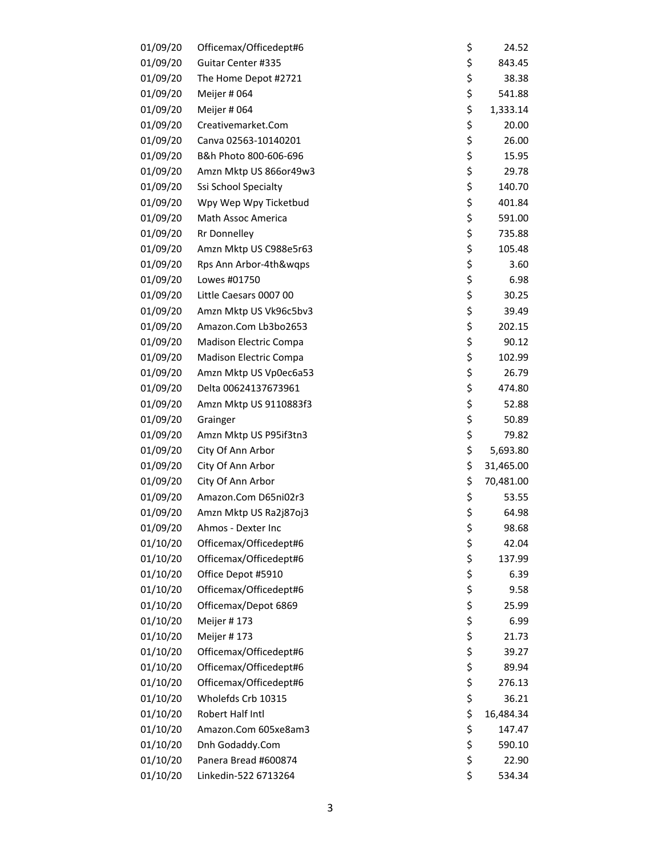| 01/09/20             | Officemax/Officedept#6              | \$<br>24.52         |
|----------------------|-------------------------------------|---------------------|
| 01/09/20             | Guitar Center #335                  | \$<br>843.45        |
| 01/09/20             | The Home Depot #2721                | \$<br>38.38         |
| 01/09/20             | Meijer # 064                        | \$<br>541.88        |
| 01/09/20             | Meijer # 064                        | \$<br>1,333.14      |
| 01/09/20             | Creativemarket.Com                  | \$<br>20.00         |
| 01/09/20             | Canva 02563-10140201                | \$<br>26.00         |
| 01/09/20             | B&h Photo 800-606-696               | \$<br>15.95         |
| 01/09/20             | Amzn Mktp US 866or49w3              | \$<br>29.78         |
| 01/09/20             | Ssi School Specialty                | \$<br>140.70        |
| 01/09/20             | Wpy Wep Wpy Ticketbud               | \$<br>401.84        |
| 01/09/20             | Math Assoc America                  | \$<br>591.00        |
| 01/09/20             | <b>Rr Donnelley</b>                 | \$<br>735.88        |
| 01/09/20             | Amzn Mktp US C988e5r63              | \$<br>105.48        |
| 01/09/20             | Rps Ann Arbor-4th&wqps              | \$<br>3.60          |
| 01/09/20             | Lowes #01750                        | \$<br>6.98          |
| 01/09/20             | Little Caesars 0007 00              | \$<br>30.25         |
| 01/09/20             | Amzn Mktp US Vk96c5bv3              | \$<br>39.49         |
| 01/09/20             | Amazon.Com Lb3bo2653                | \$<br>202.15        |
| 01/09/20             | Madison Electric Compa              | \$<br>90.12         |
| 01/09/20             | Madison Electric Compa              | \$<br>102.99        |
| 01/09/20             | Amzn Mktp US Vp0ec6a53              | \$<br>26.79         |
| 01/09/20             | Delta 00624137673961                | \$<br>474.80        |
| 01/09/20             | Amzn Mktp US 9110883f3              | \$<br>52.88         |
| 01/09/20             | Grainger                            | \$<br>50.89         |
| 01/09/20             | Amzn Mktp US P95if3tn3              | \$<br>79.82         |
| 01/09/20             | City Of Ann Arbor                   | \$<br>5,693.80      |
| 01/09/20             | City Of Ann Arbor                   | \$<br>31,465.00     |
| 01/09/20             | City Of Ann Arbor                   | \$<br>70,481.00     |
| 01/09/20             | Amazon.Com D65ni02r3                | \$<br>53.55         |
| 01/09/20             | Amzn Mktp US Ra2j87oj3              | \$<br>64.98         |
| 01/09/20             | Ahmos - Dexter Inc                  | \$<br>98.68         |
| 01/10/20             | Officemax/Officedept#6              | \$<br>42.04         |
| 01/10/20             | Officemax/Officedept#6              | \$<br>137.99        |
| 01/10/20             | Office Depot #5910                  | \$<br>6.39          |
| 01/10/20             | Officemax/Officedept#6              | \$<br>9.58          |
|                      |                                     | \$                  |
| 01/10/20<br>01/10/20 | Officemax/Depot 6869<br>Meijer #173 | 25.99               |
|                      |                                     | \$<br>6.99<br>21.73 |
| 01/10/20             | Meijer #173                         | \$                  |
| 01/10/20             | Officemax/Officedept#6              | \$<br>39.27         |
| 01/10/20             | Officemax/Officedept#6              | \$<br>89.94         |
| 01/10/20             | Officemax/Officedept#6              | \$<br>276.13        |
| 01/10/20             | Wholefds Crb 10315                  | \$<br>36.21         |
| 01/10/20             | Robert Half Intl                    | \$<br>16,484.34     |
| 01/10/20             | Amazon.Com 605xe8am3                | \$<br>147.47        |
| 01/10/20             | Dnh Godaddy.Com                     | \$<br>590.10        |
| 01/10/20             | Panera Bread #600874                | \$<br>22.90         |
| 01/10/20             | Linkedin-522 6713264                | \$<br>534.34        |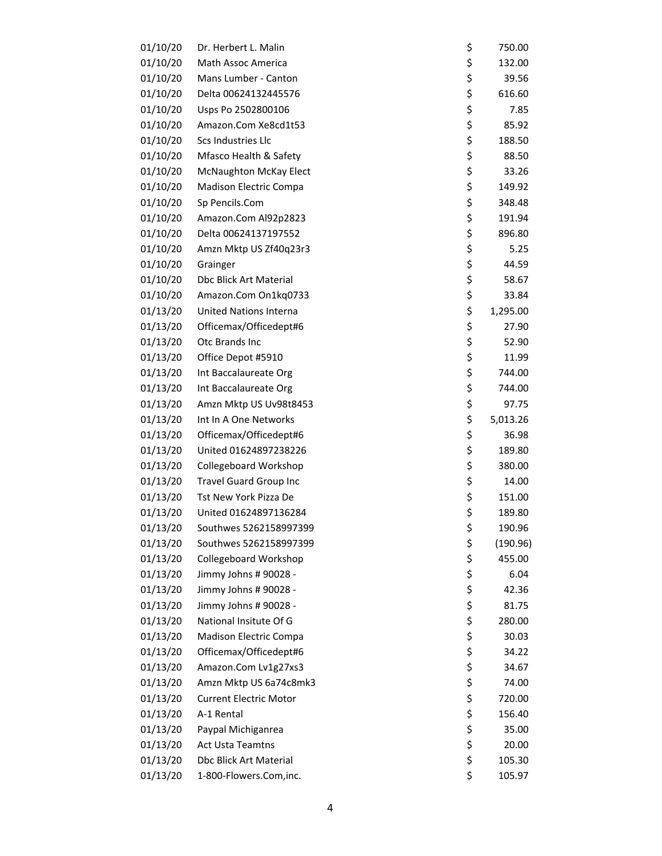| 01/10/20 | Dr. Herbert L. Malin          | \$<br>750.00   |
|----------|-------------------------------|----------------|
| 01/10/20 | Math Assoc America            | \$<br>132.00   |
| 01/10/20 | Mans Lumber - Canton          | \$<br>39.56    |
| 01/10/20 | Delta 00624132445576          | \$<br>616.60   |
| 01/10/20 | Usps Po 2502800106            | \$<br>7.85     |
| 01/10/20 | Amazon.Com Xe8cd1t53          | \$<br>85.92    |
| 01/10/20 | Scs Industries Llc            | \$<br>188.50   |
| 01/10/20 | Mfasco Health & Safety        | \$<br>88.50    |
| 01/10/20 | <b>McNaughton McKay Elect</b> | \$<br>33.26    |
| 01/10/20 | Madison Electric Compa        | \$<br>149.92   |
| 01/10/20 | Sp Pencils.Com                | \$<br>348.48   |
| 01/10/20 | Amazon.Com Al92p2823          | \$<br>191.94   |
| 01/10/20 | Delta 00624137197552          | \$<br>896.80   |
| 01/10/20 | Amzn Mktp US Zf40q23r3        | \$<br>5.25     |
| 01/10/20 | Grainger                      | \$<br>44.59    |
| 01/10/20 | <b>Dbc Blick Art Material</b> | \$<br>58.67    |
| 01/10/20 | Amazon.Com On1kq0733          | \$<br>33.84    |
| 01/13/20 | <b>United Nations Interna</b> | \$<br>1,295.00 |
| 01/13/20 | Officemax/Officedept#6        | \$<br>27.90    |
| 01/13/20 | Otc Brands Inc                | \$<br>52.90    |
| 01/13/20 | Office Depot #5910            | \$<br>11.99    |
| 01/13/20 | Int Baccalaureate Org         | \$<br>744.00   |
| 01/13/20 | Int Baccalaureate Org         | \$<br>744.00   |
| 01/13/20 | Amzn Mktp US Uv98t8453        | \$<br>97.75    |
| 01/13/20 | Int In A One Networks         | \$<br>5,013.26 |
| 01/13/20 | Officemax/Officedept#6        | \$<br>36.98    |
| 01/13/20 | United 01624897238226         | \$<br>189.80   |
| 01/13/20 | Collegeboard Workshop         | \$<br>380.00   |
| 01/13/20 | <b>Travel Guard Group Inc</b> | \$<br>14.00    |
| 01/13/20 | Tst New York Pizza De         | \$<br>151.00   |
| 01/13/20 | United 01624897136284         | \$<br>189.80   |
| 01/13/20 | Southwes 5262158997399        | \$<br>190.96   |
| 01/13/20 | Southwes 5262158997399        | \$<br>(190.96) |
| 01/13/20 | Collegeboard Workshop         | \$<br>455.00   |
| 01/13/20 | Jimmy Johns # 90028 -         | \$<br>6.04     |
| 01/13/20 | Jimmy Johns # 90028 -         | \$<br>42.36    |
| 01/13/20 | Jimmy Johns # 90028 -         | \$<br>81.75    |
| 01/13/20 | National Insitute Of G        | \$<br>280.00   |
| 01/13/20 | Madison Electric Compa        | \$<br>30.03    |
| 01/13/20 | Officemax/Officedept#6        | \$<br>34.22    |
| 01/13/20 | Amazon.Com Lv1g27xs3          | \$<br>34.67    |
| 01/13/20 | Amzn Mktp US 6a74c8mk3        | \$<br>74.00    |
| 01/13/20 | <b>Current Electric Motor</b> | \$<br>720.00   |
| 01/13/20 | A-1 Rental                    | \$<br>156.40   |
| 01/13/20 | Paypal Michiganrea            | \$<br>35.00    |
| 01/13/20 | <b>Act Usta Teamtns</b>       | \$<br>20.00    |
| 01/13/20 | Dbc Blick Art Material        | \$<br>105.30   |
| 01/13/20 | 1-800-Flowers.Com,inc.        | \$<br>105.97   |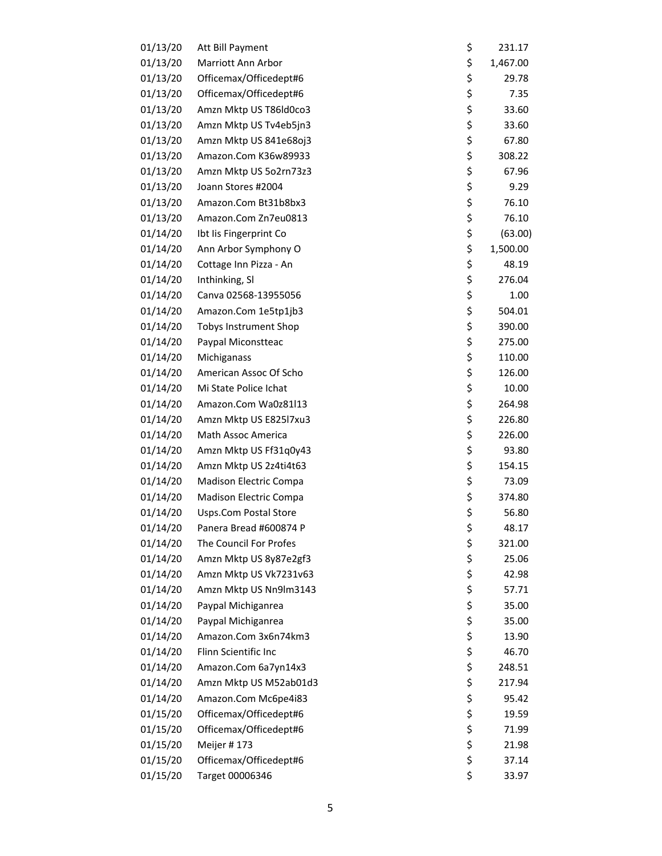| 01/13/20             | Att Bill Payment                                 | \$       | 231.17         |
|----------------------|--------------------------------------------------|----------|----------------|
| 01/13/20             | Marriott Ann Arbor                               | \$       | 1,467.00       |
| 01/13/20             | Officemax/Officedept#6                           | \$       | 29.78          |
| 01/13/20             | Officemax/Officedept#6                           | \$       | 7.35           |
| 01/13/20             | Amzn Mktp US T86Id0co3                           | \$       | 33.60          |
| 01/13/20             | Amzn Mktp US Tv4eb5jn3                           | \$       | 33.60          |
| 01/13/20             | Amzn Mktp US 841e68oj3                           | \$       | 67.80          |
| 01/13/20             | Amazon.Com K36w89933                             | \$       | 308.22         |
| 01/13/20             | Amzn Mktp US 5o2rn73z3                           | \$       | 67.96          |
| 01/13/20             | Joann Stores #2004                               | \$       | 9.29           |
| 01/13/20             | Amazon.Com Bt31b8bx3                             | \$       | 76.10          |
| 01/13/20             | Amazon.Com Zn7eu0813                             | \$       | 76.10          |
| 01/14/20             | Ibt Iis Fingerprint Co                           | \$       | (63.00)        |
| 01/14/20             | Ann Arbor Symphony O                             | \$       | 1,500.00       |
| 01/14/20             | Cottage Inn Pizza - An                           | \$       | 48.19          |
| 01/14/20             | Inthinking, SI                                   | \$       | 276.04         |
| 01/14/20             | Canva 02568-13955056                             | \$       | 1.00           |
| 01/14/20             | Amazon.Com 1e5tp1jb3                             | \$       | 504.01         |
| 01/14/20             | <b>Tobys Instrument Shop</b>                     | \$       | 390.00         |
| 01/14/20             | Paypal Miconstteac                               | \$       | 275.00         |
| 01/14/20             | Michiganass                                      | \$       | 110.00         |
| 01/14/20             | American Assoc Of Scho                           | \$       | 126.00         |
| 01/14/20             | Mi State Police Ichat                            | \$       | 10.00          |
| 01/14/20             | Amazon.Com Wa0z81l13                             | \$       | 264.98         |
| 01/14/20             | Amzn Mktp US E825l7xu3                           | \$       | 226.80         |
| 01/14/20             | Math Assoc America                               | \$       | 226.00         |
| 01/14/20             | Amzn Mktp US Ff31q0y43                           | \$       | 93.80          |
| 01/14/20             | Amzn Mktp US 2z4ti4t63                           | \$       | 154.15         |
| 01/14/20             | Madison Electric Compa                           | \$       | 73.09          |
| 01/14/20             | Madison Electric Compa                           | \$       | 374.80         |
| 01/14/20             | Usps.Com Postal Store                            | \$       | 56.80          |
| 01/14/20             | Panera Bread #600874 P                           | \$       | 48.17          |
| 01/14/20             | The Council For Profes                           | \$       | 321.00         |
| 01/14/20             | Amzn Mktp US 8y87e2gf3                           | \$       | 25.06          |
| 01/14/20             | Amzn Mktp US Vk7231v63                           | \$       | 42.98          |
| 01/14/20             | Amzn Mktp US Nn9lm3143                           | \$       | 57.71          |
| 01/14/20             | Paypal Michiganrea                               | \$       | 35.00          |
| 01/14/20             | Paypal Michiganrea                               | \$       | 35.00          |
| 01/14/20             | Amazon.Com 3x6n74km3                             | \$       | 13.90          |
| 01/14/20             | Flinn Scientific Inc                             | \$       | 46.70          |
| 01/14/20             | Amazon.Com 6a7yn14x3                             | \$       | 248.51         |
| 01/14/20             | Amzn Mktp US M52ab01d3                           | \$       | 217.94         |
| 01/14/20             | Amazon.Com Mc6pe4i83                             | \$       | 95.42          |
|                      |                                                  |          |                |
| 01/15/20<br>01/15/20 | Officemax/Officedept#6<br>Officemax/Officedept#6 | \$<br>\$ | 19.59<br>71.99 |
|                      |                                                  | \$       |                |
| 01/15/20<br>01/15/20 | Meijer #173                                      | \$       | 21.98          |
|                      | Officemax/Officedept#6                           | \$       | 37.14          |
| 01/15/20             | Target 00006346                                  |          | 33.97          |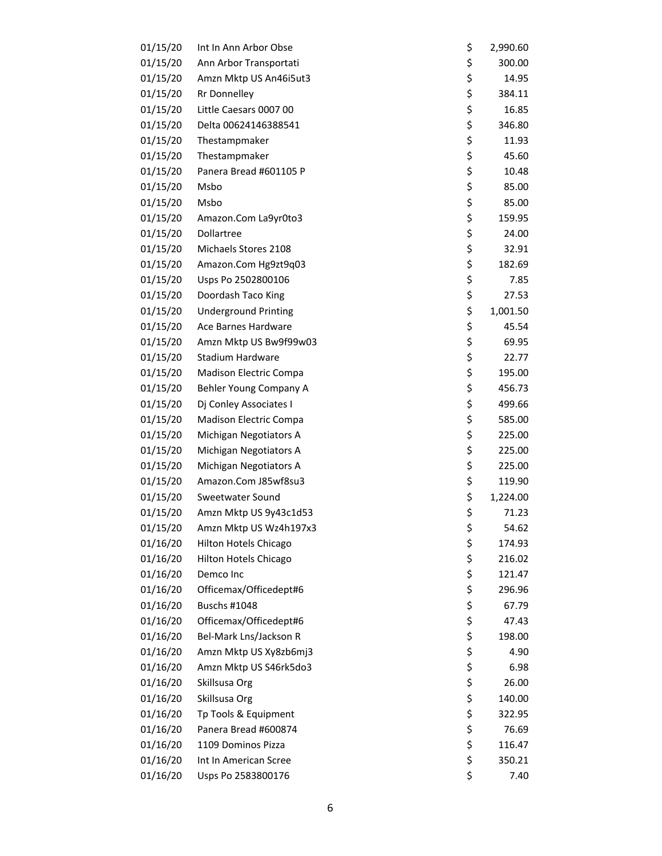| 01/15/20 | Int In Ann Arbor Obse       | \$<br>2,990.60 |
|----------|-----------------------------|----------------|
| 01/15/20 | Ann Arbor Transportati      | \$<br>300.00   |
| 01/15/20 | Amzn Mktp US An46i5ut3      | \$<br>14.95    |
| 01/15/20 | <b>Rr Donnelley</b>         | \$<br>384.11   |
| 01/15/20 | Little Caesars 0007 00      | \$<br>16.85    |
| 01/15/20 | Delta 00624146388541        | \$<br>346.80   |
| 01/15/20 | Thestampmaker               | \$<br>11.93    |
| 01/15/20 | Thestampmaker               | \$<br>45.60    |
| 01/15/20 | Panera Bread #601105 P      | \$<br>10.48    |
| 01/15/20 | Msbo                        | \$<br>85.00    |
| 01/15/20 | Msbo                        | \$<br>85.00    |
| 01/15/20 | Amazon.Com La9yr0to3        | \$<br>159.95   |
| 01/15/20 | Dollartree                  | \$<br>24.00    |
| 01/15/20 | Michaels Stores 2108        | \$<br>32.91    |
| 01/15/20 | Amazon.Com Hg9zt9q03        | \$<br>182.69   |
| 01/15/20 | Usps Po 2502800106          | \$<br>7.85     |
| 01/15/20 | Doordash Taco King          | \$<br>27.53    |
| 01/15/20 | <b>Underground Printing</b> | \$<br>1,001.50 |
| 01/15/20 | Ace Barnes Hardware         | \$<br>45.54    |
| 01/15/20 | Amzn Mktp US Bw9f99w03      | \$<br>69.95    |
| 01/15/20 | Stadium Hardware            | \$<br>22.77    |
| 01/15/20 | Madison Electric Compa      | \$<br>195.00   |
| 01/15/20 | Behler Young Company A      | \$<br>456.73   |
| 01/15/20 | Dj Conley Associates I      | \$<br>499.66   |
| 01/15/20 | Madison Electric Compa      | \$<br>585.00   |
| 01/15/20 | Michigan Negotiators A      | \$<br>225.00   |
| 01/15/20 | Michigan Negotiators A      | \$<br>225.00   |
| 01/15/20 | Michigan Negotiators A      | \$<br>225.00   |
| 01/15/20 | Amazon.Com J85wf8su3        | \$<br>119.90   |
| 01/15/20 | Sweetwater Sound            | \$<br>1,224.00 |
| 01/15/20 | Amzn Mktp US 9y43c1d53      | \$<br>71.23    |
| 01/15/20 | Amzn Mktp US Wz4h197x3      | \$<br>54.62    |
| 01/16/20 | Hilton Hotels Chicago       | \$<br>174.93   |
| 01/16/20 | Hilton Hotels Chicago       | \$<br>216.02   |
| 01/16/20 | Demco Inc                   | \$<br>121.47   |
| 01/16/20 | Officemax/Officedept#6      | \$<br>296.96   |
| 01/16/20 | <b>Buschs #1048</b>         | \$<br>67.79    |
| 01/16/20 | Officemax/Officedept#6      | \$<br>47.43    |
| 01/16/20 | Bel-Mark Lns/Jackson R      | \$<br>198.00   |
| 01/16/20 | Amzn Mktp US Xy8zb6mj3      | \$<br>4.90     |
| 01/16/20 | Amzn Mktp US S46rk5do3      | \$<br>6.98     |
| 01/16/20 | Skillsusa Org               | \$<br>26.00    |
| 01/16/20 | Skillsusa Org               | \$<br>140.00   |
| 01/16/20 | Tp Tools & Equipment        | \$<br>322.95   |
| 01/16/20 | Panera Bread #600874        | \$<br>76.69    |
| 01/16/20 | 1109 Dominos Pizza          | \$<br>116.47   |
| 01/16/20 | Int In American Scree       | \$<br>350.21   |
| 01/16/20 | Usps Po 2583800176          | \$<br>7.40     |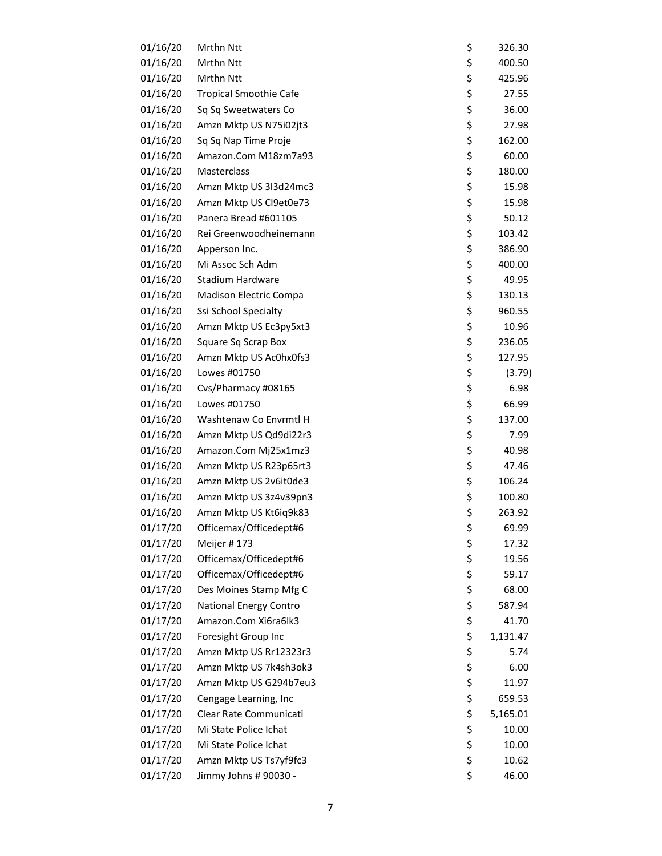| 01/16/20 | Mrthn Ntt                     | \$<br>326.30   |
|----------|-------------------------------|----------------|
| 01/16/20 | Mrthn Ntt                     | \$<br>400.50   |
| 01/16/20 | Mrthn Ntt                     | \$<br>425.96   |
| 01/16/20 | <b>Tropical Smoothie Cafe</b> | \$<br>27.55    |
| 01/16/20 | Sq Sq Sweetwaters Co          | \$<br>36.00    |
| 01/16/20 | Amzn Mktp US N75i02jt3        | \$<br>27.98    |
| 01/16/20 | Sq Sq Nap Time Proje          | \$<br>162.00   |
| 01/16/20 | Amazon.Com M18zm7a93          | \$<br>60.00    |
| 01/16/20 | Masterclass                   | \$<br>180.00   |
| 01/16/20 | Amzn Mktp US 3l3d24mc3        | \$<br>15.98    |
| 01/16/20 | Amzn Mktp US Cl9et0e73        | \$<br>15.98    |
| 01/16/20 | Panera Bread #601105          | \$<br>50.12    |
| 01/16/20 | Rei Greenwoodheinemann        | \$<br>103.42   |
| 01/16/20 | Apperson Inc.                 | \$<br>386.90   |
| 01/16/20 | Mi Assoc Sch Adm              | \$<br>400.00   |
| 01/16/20 | Stadium Hardware              | \$<br>49.95    |
| 01/16/20 | Madison Electric Compa        | \$<br>130.13   |
| 01/16/20 | Ssi School Specialty          | \$<br>960.55   |
| 01/16/20 | Amzn Mktp US Ec3py5xt3        | \$<br>10.96    |
| 01/16/20 | Square Sq Scrap Box           | \$<br>236.05   |
| 01/16/20 | Amzn Mktp US Ac0hx0fs3        | \$<br>127.95   |
| 01/16/20 | Lowes #01750                  | \$<br>(3.79)   |
| 01/16/20 | Cvs/Pharmacy #08165           | \$<br>6.98     |
| 01/16/20 | Lowes #01750                  | \$<br>66.99    |
| 01/16/20 | Washtenaw Co Envrmtl H        | \$<br>137.00   |
| 01/16/20 | Amzn Mktp US Qd9di22r3        | \$<br>7.99     |
| 01/16/20 | Amazon.Com Mj25x1mz3          | \$<br>40.98    |
| 01/16/20 | Amzn Mktp US R23p65rt3        | \$<br>47.46    |
| 01/16/20 | Amzn Mktp US 2v6it0de3        | \$<br>106.24   |
| 01/16/20 | Amzn Mktp US 3z4v39pn3        | \$<br>100.80   |
| 01/16/20 | Amzn Mktp US Kt6iq9k83        | \$<br>263.92   |
| 01/17/20 | Officemax/Officedept#6        | \$<br>69.99    |
| 01/17/20 | Meijer #173                   | \$<br>17.32    |
| 01/17/20 | Officemax/Officedept#6        | \$<br>19.56    |
| 01/17/20 | Officemax/Officedept#6        | \$<br>59.17    |
| 01/17/20 | Des Moines Stamp Mfg C        | \$<br>68.00    |
| 01/17/20 | <b>National Energy Contro</b> | \$<br>587.94   |
| 01/17/20 | Amazon.Com Xi6ra6lk3          | \$<br>41.70    |
| 01/17/20 | Foresight Group Inc           | \$<br>1,131.47 |
| 01/17/20 | Amzn Mktp US Rr12323r3        | \$<br>5.74     |
| 01/17/20 | Amzn Mktp US 7k4sh3ok3        | \$<br>6.00     |
| 01/17/20 | Amzn Mktp US G294b7eu3        | \$<br>11.97    |
| 01/17/20 | Cengage Learning, Inc         | \$<br>659.53   |
| 01/17/20 | Clear Rate Communicati        | \$<br>5,165.01 |
| 01/17/20 | Mi State Police Ichat         | \$<br>10.00    |
| 01/17/20 | Mi State Police Ichat         | \$<br>10.00    |
| 01/17/20 | Amzn Mktp US Ts7yf9fc3        | \$<br>10.62    |
| 01/17/20 | Jimmy Johns # 90030 -         | \$<br>46.00    |
|          |                               |                |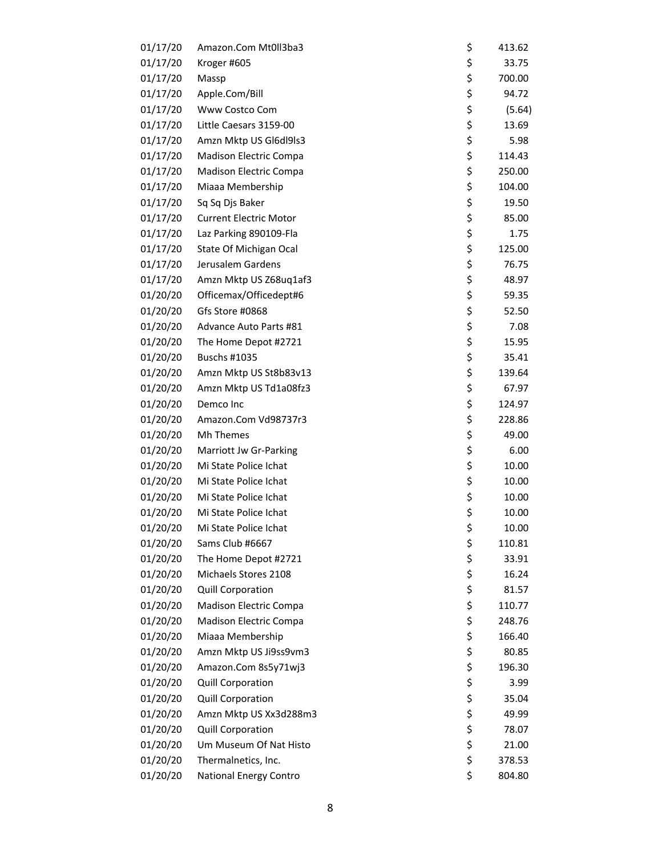| 01/17/20 | Amazon.Com Mt0ll3ba3                            | \$<br>413.62 |
|----------|-------------------------------------------------|--------------|
| 01/17/20 | Kroger #605                                     | \$<br>33.75  |
| 01/17/20 | Massp                                           | \$<br>700.00 |
| 01/17/20 | Apple.Com/Bill                                  | \$<br>94.72  |
| 01/17/20 | Www Costco Com                                  | \$<br>(5.64) |
| 01/17/20 | Little Caesars 3159-00                          | \$<br>13.69  |
| 01/17/20 | Amzn Mktp US GI6dl9ls3                          | \$<br>5.98   |
| 01/17/20 | Madison Electric Compa                          | \$<br>114.43 |
| 01/17/20 | <b>Madison Electric Compa</b>                   | \$<br>250.00 |
| 01/17/20 | Miaaa Membership                                | \$<br>104.00 |
| 01/17/20 | Sq Sq Djs Baker                                 | \$<br>19.50  |
| 01/17/20 | <b>Current Electric Motor</b>                   | \$<br>85.00  |
| 01/17/20 | Laz Parking 890109-Fla                          | \$<br>1.75   |
| 01/17/20 | State Of Michigan Ocal                          | \$<br>125.00 |
| 01/17/20 | Jerusalem Gardens                               | \$<br>76.75  |
| 01/17/20 | Amzn Mktp US Z68uq1af3                          | \$<br>48.97  |
| 01/20/20 | Officemax/Officedept#6                          | \$<br>59.35  |
| 01/20/20 | Gfs Store #0868                                 | \$<br>52.50  |
| 01/20/20 | Advance Auto Parts #81                          | \$<br>7.08   |
| 01/20/20 | The Home Depot #2721                            | \$<br>15.95  |
| 01/20/20 | <b>Buschs #1035</b>                             | \$<br>35.41  |
| 01/20/20 | Amzn Mktp US St8b83v13                          | \$<br>139.64 |
| 01/20/20 | Amzn Mktp US Td1a08fz3                          | \$<br>67.97  |
| 01/20/20 | Demco Inc                                       | \$<br>124.97 |
| 01/20/20 | Amazon.Com Vd98737r3                            | \$           |
| 01/20/20 | Mh Themes                                       | \$<br>228.86 |
| 01/20/20 |                                                 | \$<br>49.00  |
| 01/20/20 | Marriott Jw Gr-Parking<br>Mi State Police Ichat | \$<br>6.00   |
|          |                                                 | 10.00        |
| 01/20/20 | Mi State Police Ichat                           | \$<br>10.00  |
| 01/20/20 | Mi State Police Ichat                           | \$<br>10.00  |
| 01/20/20 | Mi State Police Ichat                           | \$<br>10.00  |
| 01/20/20 | Mi State Police Ichat                           | \$<br>10.00  |
| 01/20/20 | Sams Club #6667                                 | \$<br>110.81 |
| 01/20/20 | The Home Depot #2721                            | \$<br>33.91  |
| 01/20/20 | Michaels Stores 2108                            | \$<br>16.24  |
| 01/20/20 | Quill Corporation                               | \$<br>81.57  |
| 01/20/20 | Madison Electric Compa                          | \$<br>110.77 |
| 01/20/20 | Madison Electric Compa                          | \$<br>248.76 |
| 01/20/20 | Miaaa Membership                                | \$<br>166.40 |
| 01/20/20 | Amzn Mktp US Ji9ss9vm3                          | \$<br>80.85  |
| 01/20/20 | Amazon.Com 8s5y71wj3                            | \$<br>196.30 |
| 01/20/20 | Quill Corporation                               | \$<br>3.99   |
| 01/20/20 | Quill Corporation                               | \$<br>35.04  |
| 01/20/20 | Amzn Mktp US Xx3d288m3                          | \$<br>49.99  |
| 01/20/20 | Quill Corporation                               | \$<br>78.07  |
| 01/20/20 | Um Museum Of Nat Histo                          | \$<br>21.00  |
| 01/20/20 | Thermalnetics, Inc.                             | \$<br>378.53 |
| 01/20/20 | National Energy Contro                          | \$<br>804.80 |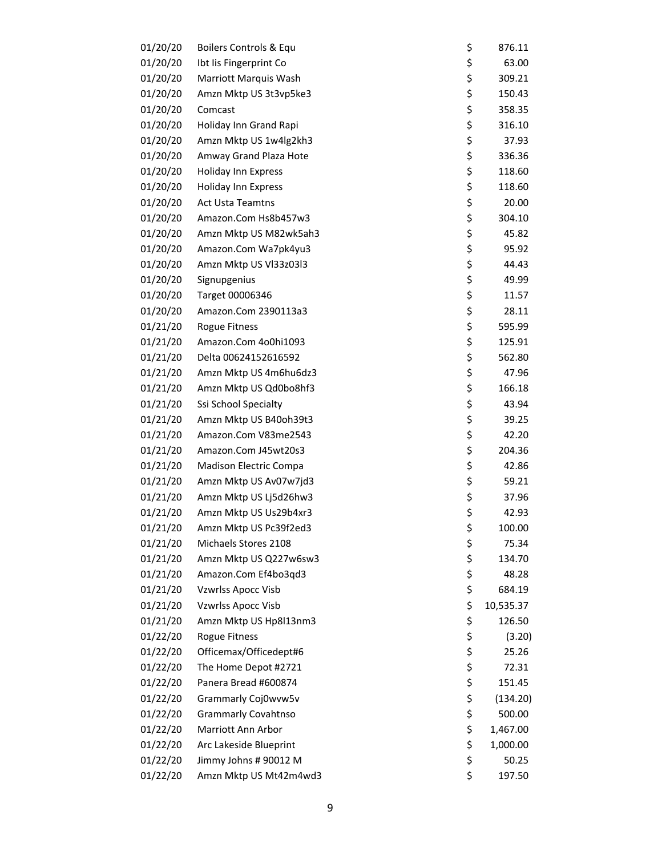| 01/20/20 | Boilers Controls & Equ        | \$<br>876.11    |
|----------|-------------------------------|-----------------|
| 01/20/20 | Ibt Iis Fingerprint Co        | \$<br>63.00     |
| 01/20/20 | Marriott Marquis Wash         | \$<br>309.21    |
| 01/20/20 | Amzn Mktp US 3t3vp5ke3        | \$<br>150.43    |
| 01/20/20 | Comcast                       | \$<br>358.35    |
| 01/20/20 | Holiday Inn Grand Rapi        | \$<br>316.10    |
| 01/20/20 | Amzn Mktp US 1w4lg2kh3        | \$<br>37.93     |
| 01/20/20 | Amway Grand Plaza Hote        | \$<br>336.36    |
| 01/20/20 | <b>Holiday Inn Express</b>    | \$<br>118.60    |
| 01/20/20 | Holiday Inn Express           | \$<br>118.60    |
| 01/20/20 | <b>Act Usta Teamtns</b>       | \$<br>20.00     |
| 01/20/20 | Amazon.Com Hs8b457w3          | \$<br>304.10    |
| 01/20/20 | Amzn Mktp US M82wk5ah3        | \$<br>45.82     |
| 01/20/20 | Amazon.Com Wa7pk4yu3          | \$<br>95.92     |
| 01/20/20 | Amzn Mktp US VI33z03I3        | \$<br>44.43     |
| 01/20/20 | Signupgenius                  | \$<br>49.99     |
| 01/20/20 | Target 00006346               | \$<br>11.57     |
| 01/20/20 | Amazon.Com 2390113a3          | \$<br>28.11     |
| 01/21/20 | Rogue Fitness                 | \$<br>595.99    |
| 01/21/20 | Amazon.Com 4o0hi1093          | \$<br>125.91    |
| 01/21/20 | Delta 00624152616592          | \$<br>562.80    |
| 01/21/20 | Amzn Mktp US 4m6hu6dz3        | \$<br>47.96     |
| 01/21/20 | Amzn Mktp US Qd0bo8hf3        | \$<br>166.18    |
| 01/21/20 | Ssi School Specialty          | \$<br>43.94     |
| 01/21/20 | Amzn Mktp US B40oh39t3        | \$<br>39.25     |
| 01/21/20 | Amazon.Com V83me2543          | \$<br>42.20     |
| 01/21/20 | Amazon.Com J45wt20s3          | \$<br>204.36    |
| 01/21/20 | <b>Madison Electric Compa</b> | \$<br>42.86     |
| 01/21/20 | Amzn Mktp US Av07w7jd3        | \$<br>59.21     |
| 01/21/20 | Amzn Mktp US Lj5d26hw3        | \$<br>37.96     |
| 01/21/20 | Amzn Mktp US Us29b4xr3        | \$<br>42.93     |
| 01/21/20 | Amzn Mktp US Pc39f2ed3        | \$<br>100.00    |
| 01/21/20 | Michaels Stores 2108          | \$<br>75.34     |
| 01/21/20 | Amzn Mktp US Q227w6sw3        | \$<br>134.70    |
| 01/21/20 | Amazon.Com Ef4bo3qd3          | \$<br>48.28     |
| 01/21/20 | Vzwrlss Apocc Visb            | \$<br>684.19    |
| 01/21/20 | Vzwrlss Apocc Visb            | \$<br>10,535.37 |
| 01/21/20 | Amzn Mktp US Hp8l13nm3        | \$<br>126.50    |
| 01/22/20 | Rogue Fitness                 | \$<br>(3.20)    |
| 01/22/20 | Officemax/Officedept#6        | \$<br>25.26     |
| 01/22/20 | The Home Depot #2721          | \$<br>72.31     |
| 01/22/20 | Panera Bread #600874          | \$<br>151.45    |
| 01/22/20 | Grammarly Coj0wvw5v           | \$<br>(134.20)  |
| 01/22/20 | <b>Grammarly Covahtnso</b>    | \$<br>500.00    |
| 01/22/20 | Marriott Ann Arbor            | \$<br>1,467.00  |
| 01/22/20 | Arc Lakeside Blueprint        | \$<br>1,000.00  |
| 01/22/20 | Jimmy Johns # 90012 M         | \$<br>50.25     |
| 01/22/20 | Amzn Mktp US Mt42m4wd3        | \$<br>197.50    |
|          |                               |                 |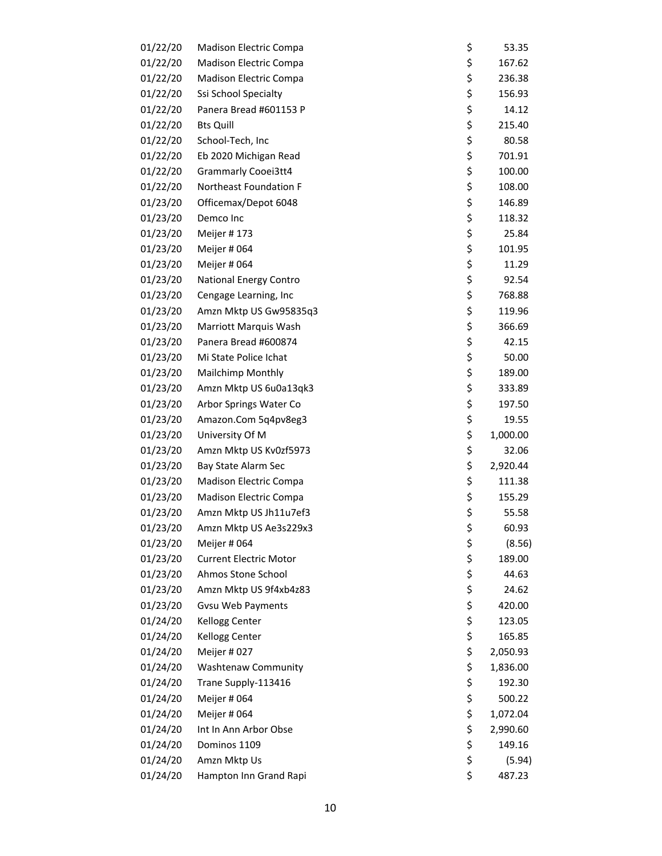| 01/22/20 | <b>Madison Electric Compa</b> | \$<br>53.35    |
|----------|-------------------------------|----------------|
| 01/22/20 | <b>Madison Electric Compa</b> | \$<br>167.62   |
| 01/22/20 | Madison Electric Compa        | \$<br>236.38   |
| 01/22/20 | Ssi School Specialty          | \$<br>156.93   |
| 01/22/20 | Panera Bread #601153 P        | \$<br>14.12    |
| 01/22/20 | <b>Bts Quill</b>              | \$<br>215.40   |
| 01/22/20 | School-Tech, Inc              | \$<br>80.58    |
| 01/22/20 | Eb 2020 Michigan Read         | \$<br>701.91   |
| 01/22/20 | <b>Grammarly Cooei3tt4</b>    | \$<br>100.00   |
| 01/22/20 | Northeast Foundation F        | \$<br>108.00   |
| 01/23/20 | Officemax/Depot 6048          | \$<br>146.89   |
| 01/23/20 | Demco Inc                     | \$<br>118.32   |
| 01/23/20 | Meijer #173                   | \$<br>25.84    |
| 01/23/20 | Meijer # 064                  | \$<br>101.95   |
| 01/23/20 | Meijer #064                   | \$<br>11.29    |
| 01/23/20 | <b>National Energy Contro</b> | \$<br>92.54    |
| 01/23/20 | Cengage Learning, Inc         | \$<br>768.88   |
| 01/23/20 | Amzn Mktp US Gw95835q3        | \$<br>119.96   |
| 01/23/20 | Marriott Marquis Wash         | \$<br>366.69   |
| 01/23/20 | Panera Bread #600874          | \$<br>42.15    |
| 01/23/20 | Mi State Police Ichat         | \$<br>50.00    |
| 01/23/20 | Mailchimp Monthly             | \$<br>189.00   |
| 01/23/20 | Amzn Mktp US 6u0a13qk3        | \$<br>333.89   |
| 01/23/20 | Arbor Springs Water Co        | \$<br>197.50   |
| 01/23/20 | Amazon.Com 5q4pv8eg3          | \$<br>19.55    |
| 01/23/20 | University Of M               | \$<br>1,000.00 |
| 01/23/20 | Amzn Mktp US Kv0zf5973        | \$<br>32.06    |
| 01/23/20 | Bay State Alarm Sec           | \$<br>2,920.44 |
| 01/23/20 | Madison Electric Compa        | \$<br>111.38   |
| 01/23/20 | <b>Madison Electric Compa</b> | \$<br>155.29   |
| 01/23/20 | Amzn Mktp US Jh11u7ef3        | \$<br>55.58    |
| 01/23/20 | Amzn Mktp US Ae3s229x3        | \$<br>60.93    |
| 01/23/20 | Meijer # 064                  | \$<br>(8.56)   |
| 01/23/20 | <b>Current Electric Motor</b> | \$<br>189.00   |
| 01/23/20 | Ahmos Stone School            | \$<br>44.63    |
| 01/23/20 | Amzn Mktp US 9f4xb4z83        | \$<br>24.62    |
| 01/23/20 | <b>Gvsu Web Payments</b>      | \$<br>420.00   |
| 01/24/20 | Kellogg Center                | \$<br>123.05   |
| 01/24/20 | Kellogg Center                | \$<br>165.85   |
| 01/24/20 | Meijer #027                   | \$<br>2,050.93 |
| 01/24/20 | <b>Washtenaw Community</b>    | \$<br>1,836.00 |
| 01/24/20 | Trane Supply-113416           | \$<br>192.30   |
| 01/24/20 | Meijer # 064                  | \$<br>500.22   |
| 01/24/20 | Meijer # 064                  | \$<br>1,072.04 |
| 01/24/20 | Int In Ann Arbor Obse         | \$<br>2,990.60 |
| 01/24/20 | Dominos 1109                  | \$<br>149.16   |
| 01/24/20 | Amzn Mktp Us                  | \$<br>(5.94)   |
| 01/24/20 | Hampton Inn Grand Rapi        | \$<br>487.23   |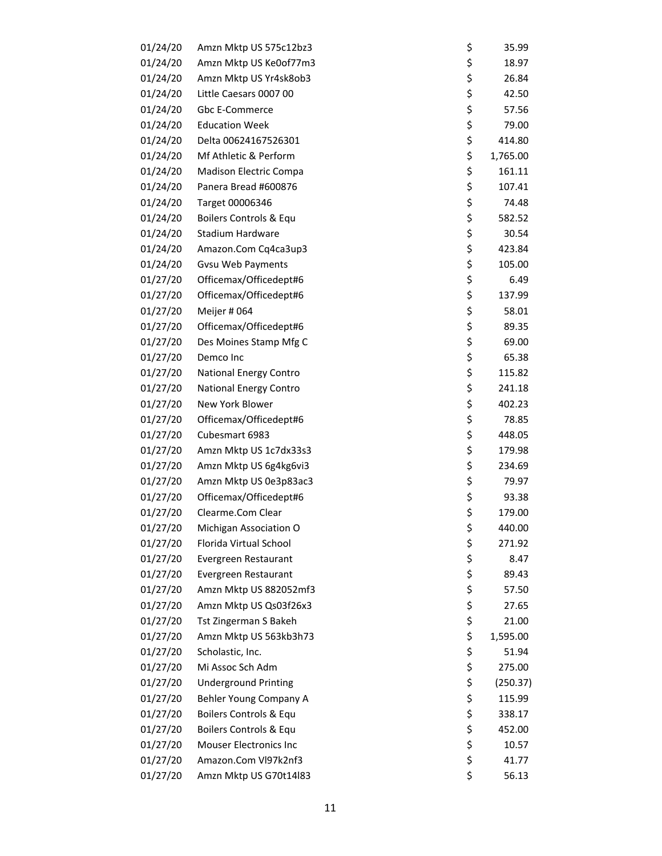| 01/24/20 | Amzn Mktp US 575c12bz3        | \$<br>35.99    |
|----------|-------------------------------|----------------|
| 01/24/20 | Amzn Mktp US Ke0of77m3        | \$<br>18.97    |
| 01/24/20 | Amzn Mktp US Yr4sk8ob3        | \$<br>26.84    |
| 01/24/20 | Little Caesars 0007 00        | \$<br>42.50    |
| 01/24/20 | Gbc E-Commerce                | \$<br>57.56    |
| 01/24/20 | <b>Education Week</b>         | \$<br>79.00    |
| 01/24/20 | Delta 00624167526301          | \$<br>414.80   |
| 01/24/20 | Mf Athletic & Perform         | \$<br>1,765.00 |
| 01/24/20 | Madison Electric Compa        | \$<br>161.11   |
| 01/24/20 | Panera Bread #600876          | \$<br>107.41   |
| 01/24/20 | Target 00006346               | \$<br>74.48    |
| 01/24/20 | Boilers Controls & Equ        | \$<br>582.52   |
| 01/24/20 | Stadium Hardware              | \$<br>30.54    |
| 01/24/20 | Amazon.Com Cq4ca3up3          | \$<br>423.84   |
| 01/24/20 | <b>Gvsu Web Payments</b>      | \$<br>105.00   |
| 01/27/20 | Officemax/Officedept#6        | \$<br>6.49     |
| 01/27/20 | Officemax/Officedept#6        | \$<br>137.99   |
| 01/27/20 | Meijer # 064                  | \$<br>58.01    |
| 01/27/20 | Officemax/Officedept#6        | \$<br>89.35    |
| 01/27/20 | Des Moines Stamp Mfg C        | \$<br>69.00    |
| 01/27/20 | Demco Inc                     | \$<br>65.38    |
| 01/27/20 | <b>National Energy Contro</b> | \$<br>115.82   |
| 01/27/20 | <b>National Energy Contro</b> | \$<br>241.18   |
| 01/27/20 | New York Blower               | \$<br>402.23   |
| 01/27/20 | Officemax/Officedept#6        | \$<br>78.85    |
| 01/27/20 | Cubesmart 6983                | \$<br>448.05   |
| 01/27/20 | Amzn Mktp US 1c7dx33s3        | \$<br>179.98   |
| 01/27/20 | Amzn Mktp US 6g4kg6vi3        | \$<br>234.69   |
| 01/27/20 | Amzn Mktp US 0e3p83ac3        | \$<br>79.97    |
| 01/27/20 | Officemax/Officedept#6        | \$<br>93.38    |
| 01/27/20 | Clearme.Com Clear             | \$<br>179.00   |
| 01/27/20 | Michigan Association O        | \$<br>440.00   |
| 01/27/20 | Florida Virtual School        | \$<br>271.92   |
| 01/27/20 | Evergreen Restaurant          | \$<br>8.47     |
| 01/27/20 | Evergreen Restaurant          | \$<br>89.43    |
| 01/27/20 | Amzn Mktp US 882052mf3        | \$<br>57.50    |
| 01/27/20 | Amzn Mktp US Qs03f26x3        | \$<br>27.65    |
| 01/27/20 | Tst Zingerman S Bakeh         | \$<br>21.00    |
| 01/27/20 | Amzn Mktp US 563kb3h73        | \$<br>1,595.00 |
| 01/27/20 | Scholastic, Inc.              | \$<br>51.94    |
| 01/27/20 | Mi Assoc Sch Adm              | \$<br>275.00   |
| 01/27/20 | <b>Underground Printing</b>   | \$<br>(250.37) |
| 01/27/20 | Behler Young Company A        | \$<br>115.99   |
| 01/27/20 | Boilers Controls & Equ        | \$<br>338.17   |
| 01/27/20 | Boilers Controls & Equ        | \$<br>452.00   |
| 01/27/20 | <b>Mouser Electronics Inc</b> | \$<br>10.57    |
| 01/27/20 | Amazon.Com VI97k2nf3          | \$<br>41.77    |
| 01/27/20 | Amzn Mktp US G70t14l83        | \$<br>56.13    |